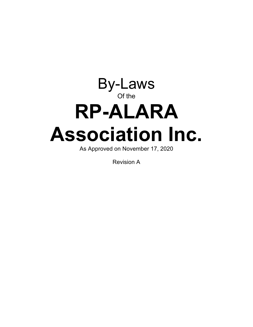# By-Laws Of the **RP-ALARA Association Inc.**

As Approved on November 17, 2020

Revision A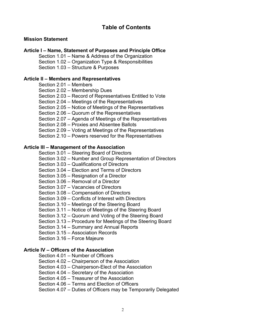# **Table of Contents**

## **Mission Statement**

#### **Article I – Name, Statement of Purposes and Principle Office**

Section 1.01 – Name & Address of the Organization Section 1.02 – Organization Type & Responsibilities Section 1.03 – Structure & Purposes

#### **Article II – Members and Representatives**

Section 2.01 – Members

Section 2.02 – Membership Dues

Section 2.03 – Record of Representatives Entitled to Vote

Section 2.04 – Meetings of the Representatives

Section 2.05 – Notice of Meetings of the Representatives

Section 2.06 – Quorum of the Representatives

Section 2.07 – Agenda of Meetings of the Representatives

Section 2.08 – Proxies and Absentee Ballots

Section 2.09 – Voting at Meetings of the Representatives

Section 2.10 – Powers reserved for the Representatives

#### **Article III – Management of the Association**

Section 3.01 – Steering Board of Directors

Section 3.02 – Number and Group Representation of Directors

Section 3.03 – Qualifications of Directors

Section 3.04 – Election and Terms of Directors

Section 3.05 – Resignation of a Director

Section 3.06 – Removal of a Director

Section 3.07 – Vacancies of Directors

Section 3.08 – Compensation of Directors

Section 3.09 – Conflicts of Interest with Directors

Section 3.10 – Meetings of the Steering Board

Section 3.11 – Notice of Meetings of the Steering Board

Section 3.12 – Quorum and Voting of the Steering Board

Section 3.13 – Procedure for Meetings of the Steering Board

Section 3.14 – Summary and Annual Reports

Section 3.15 – Association Records

Section 3.16 – Force Majeure

#### **Article IV – Officers of the Association**

- Section 4.01 Number of Officers
- Section 4.02 Chairperson of the Association

Section 4.03 – Chairperson-Elect of the Association

Section 4.04 – Secretary of the Association

Section 4.05 – Treasurer of the Association

Section 4.06 – Terms and Election of Officers

Section 4.07 – Duties of Officers may be Temporarily Delegated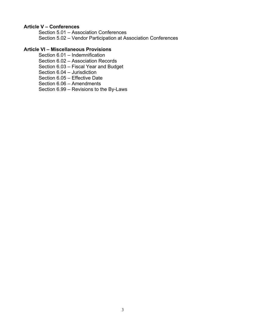## **Article V – Conferences**

Section 5.01 – Association Conferences Section 5.02 – Vendor Participation at Association Conferences

# **Article VI – Miscellaneous Provisions**

- Section 6.01 Indemnification
- Section 6.02 Association Records
- Section 6.03 Fiscal Year and Budget
- Section 6.04 Jurisdiction
- Section 6.05 Effective Date
- Section 6.06 Amendments
- Section 6.99 Revisions to the By-Laws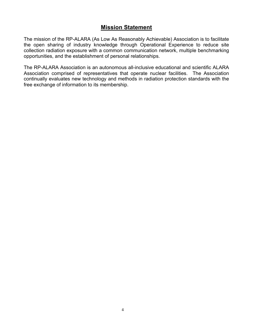# **Mission Statement**

The mission of the RP-ALARA (As Low As Reasonably Achievable) Association is to facilitate the open sharing of industry knowledge through Operational Experience to reduce site collection radiation exposure with a common communication network, multiple benchmarking opportunities, and the establishment of personal relationships.

The RP-ALARA Association is an autonomous all-inclusive educational and scientific ALARA Association comprised of representatives that operate nuclear facilities. The Association continually evaluates new technology and methods in radiation protection standards with the free exchange of information to its membership.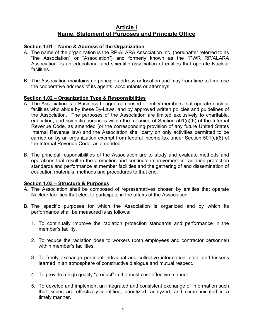# **Article I Name, Statement of Purposes and Principle Office**

## **Section 1.01 – Name & Address of the Organization**

- A. The name of the organization is the RP-ALARA Association Inc. (hereinafter referred to as "the Association" or "Association") and formerly known as the "PWR RP/ALARA Association" is an educational and scientific association of entities that operate Nuclear facilities.
- B. The Association maintains no principle address or location and may from time to time use the cooperative address of its agents, accountants or attorneys.

#### **Section 1.02 – Organization Type & Responsibilities**

- A. The Association is a Business League comprised of entity members that operate nuclear facilities who abide by these By-Laws, and by approved written policies and guidelines of the Association. The purposes of the Association are limited exclusively to charitable, education, and scientific purposes within the meaning of Section 501(c)(6) of the Internal Revenue Code, as amended (or the corresponding provision of any future United States Internal Revenue law) and the Association shall carry on only activities permitted to be carried on by an organization exempt from federal income tax under Section 501(c)(6) of the Internal Revenue Code, as amended.
- B. The principal responsibilities of the Association are to study and evaluate methods and operations that result in the promotion and continual improvement in radiation protection standards and performance at member facilities and the gathering of and dissemination of education materials, methods and procedures to that end.

#### **Section 1.03 – Structure & Purposes**

- A. The Association shall be composed of representatives chosen by entities that operate Nuclear facilities that elect to participate in the affairs of the Association.
- B. The specific purposes for which the Association is organized and by which its performance shall be measured is as follows:
	- 1. To continually improve the radiation protection standards and performance in the member's facility.
	- 2. To reduce the radiation dose to workers (both employees and contractor personnel) within member's facilities.
	- 3. To freely exchange pertinent individual and collective information, data, and lessons learned in an atmosphere of constructive dialogue and mutual respect.
	- 4. To provide a high quality "product" in the most cost-effective manner.
	- 5. To develop and implement an integrated and consistent exchange of information such that issues are effectively identified, prioritized, analyzed, and communicated in a timely manner.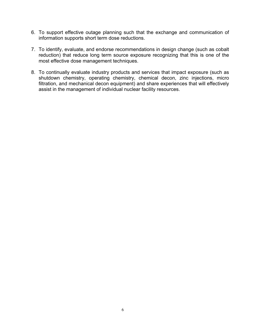- 6. To support effective outage planning such that the exchange and communication of information supports short term dose reductions.
- 7. To identify, evaluate, and endorse recommendations in design change (such as cobalt reduction) that reduce long term source exposure recognizing that this is one of the most effective dose management techniques.
- 8. To continually evaluate industry products and services that impact exposure (such as shutdown chemistry, operating chemistry, chemical decon, zinc injections, micro filtration, and mechanical decon equipment) and share experiences that will effectively assist in the management of individual nuclear facility resources.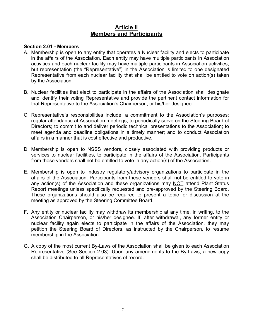# **Article II Members and Participants**

#### **Section 2.01 - Members**

- A. Membership is open to any entity that operates a Nuclear facility and elects to participate in the affairs of the Association. Each entity may have multiple participants in Association activities and each nuclear facility may have multiple participants in Association activities, but representation (the "Representative") in the Association is limited to one designated Representative from each nuclear facility that shall be entitled to vote on action(s) taken by the Association.
- B. Nuclear facilities that elect to participate in the affairs of the Association shall designate and identify their voting Representative and provide the pertinent contact information for that Representative to the Association's Chairperson, or his/her designee.
- C. Representative's responsibilities include: a commitment to the Association's purposes; regular attendance at Association meetings; to periodically serve on the Steering Board of Directors; to commit to and deliver periodic technical presentations to the Association; to meet agenda and deadline obligations in a timely manner; and to conduct Association affairs in a manner that is cost effective and productive.
- D. Membership is open to NSSS vendors, closely associated with providing products or services to nuclear facilities, to participate in the affairs of the Association. Participants from these vendors shall not be entitled to vote in any action(s) of the Association.
- E. Membership is open to Industry regulatory/advisory organizations to participate in the affairs of the Association. Participants from these vendors shall not be entitled to vote in any action(s) of the Association and these organizations may NOT attend Plant Status Report meetings unless specifically requested and pre-approved by the Steering Board. These organizations should also be required to present a topic for discussion at the meeting as approved by the Steering Committee Board.
- F. Any entity or nuclear facility may withdraw its membership at any time, in writing, to the Association Chairperson, or his/her designee. If, after withdrawal, any former entity or nuclear facility again elects to participate in the affairs of the Association, they may petition the Steering Board of Directors, as instructed by the Chairperson, to resume membership in the Association.
- G. A copy of the most current By-Laws of the Association shall be given to each Association Representative (See Section 2.03). Upon any amendments to the By-Laws, a new copy shall be distributed to all Representatives of record.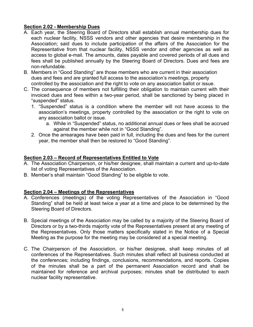# **Section 2.02 - Membership Dues**

- A. Each year, the Steering Board of Directors shall establish annual membership dues for each nuclear facility, NSSS vendors and other agencies that desire membership in the Association; said dues to include participation of the affairs of the Association for the Representative from that nuclear facility, NSSS vendor and other agencies as well as access to global e-mail. The amounts, dates payable and covered periods of all dues and fees shall be published annually by the Steering Board of Directors. Dues and fees are non-refundable.
- B. Members in "Good Standing" are those members who are current in their association dues and fees and are granted full access to the association's meetings, property controlled by the association and the right to vote on any association ballot or issue.
- C. The consequence of members not fulfilling their obligation to maintain current with their invoiced dues and fees within a two-year period, shall be sanctioned by being placed in "suspended" status.
	- 1. "Suspended" status is a condition where the member will not have access to the association's meetings, property controlled by the association or the right to vote on any association ballot or issue.
		- a. While in "Suspended" status, no additional annual dues or fees shall be accrued against the member while not in "Good Standing".
	- 2. Once the arrearages have been paid in full, including the dues and fees for the current year, the member shall then be restored to "Good Standing".

# **Section 2.03 – Record of Representatives Entitled to Vote**

- A. The Association Chairperson, or his/her designee, shall maintain a current and up-to-date list of voting Representatives of the Association.
- B. Member's shall maintain "Good Standing" to be eligible to vote.

# **Section 2.04 – Meetings of the Representatives**

- A. Conferences (meetings) of the voting Representatives of the Association in "Good Standing" shall be held at least twice a year at a time and place to be determined by the Steering Board of Directors.
- B. Special meetings of the Association may be called by a majority of the Steering Board of Directors or by a two-thirds majority vote of the Representatives present at any meeting of the Representatives. Only those matters specifically stated in the Notice of a Special Meeting as the purpose for the meeting may be considered at a special meeting.
- C. The Chairperson of the Association, or his/her designee, shall keep minutes of all conferences of the Representatives. Such minutes shall reflect all business conducted at the conferences; including findings, conclusions, recommendations, and reports. Copies of the minutes shall be a part of the permanent Association record and shall be maintained for reference and archival purposes; minutes shall be distributed to each nuclear facility representative.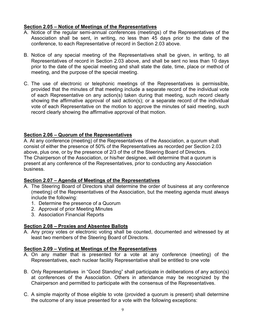# **Section 2.05 – Notice of Meetings of the Representatives**

- A. Notice of the regular semi-annual conferences (meetings) of the Representatives of the Association shall be sent, in writing, no less than 45 days prior to the date of the conference, to each Representative of record in Section 2.03 above.
- B. Notice of any special meeting of the Representatives shall be given, in writing, to all Representatives of record in Section 2.03 above, and shall be sent no less than 10 days prior to the date of the special meeting and shall state the date, time, place or method of meeting, and the purpose of the special meeting.
- C. The use of electronic or telephonic meetings of the Representatives is permissible, provided that the minutes of that meeting include a separate record of the individual vote of each Representative on any action(s) taken during that meeting, such record clearly showing the affirmative approval of said action(s); or a separate record of the individual vote of each Representative on the motion to approve the minutes of said meeting, such record clearly showing the affirmative approval of that motion.

# **Section 2.06 – Quorum of the Representatives**

A. At any conference (meeting) of the Representatives of the Association, a quorum shall consist of either the presence of 50% of the Representatives as recorded per Section 2.03 above, plus one, or by the presence of 2/3 of the of the Steering Board of Directors. The Chairperson of the Association, or his/her designee, will determine that a quorum is present at any conference of the Representatives, prior to conducting any Association business.

# **Section 2.07 – Agenda of Meetings of the Representatives**

- A. The Steering Board of Directors shall determine the order of business at any conference (meeting) of the Representatives of the Association, but the meeting agenda must always include the following:
	- 1. Determine the presence of a Quorum
	- 2. Approval of prior Meeting Minutes
	- 3. Association Financial Reports

# **Section 2.08 – Proxies and Absentee Ballots**

A. Any proxy votes or electronic voting shall be counted, documented and witnessed by at least two members of the Steering Board of Directors.

# **Section 2.09 – Voting at Meetings of the Representatives**

- A. On any matter that is presented for a vote at any conference (meeting) of the Representatives, each nuclear facility Representative shall be entitled to one vote
- B. Only Representatives in "Good Standing" shall participate in deliberations of any action(s) at conferences of the Association. Others in attendance may be recognized by the Chairperson and permitted to participate with the consensus of the Representatives.
- C. A simple majority of those eligible to vote (provided a quorum is present) shall determine the outcome of any issue presented for a vote with the following exceptions: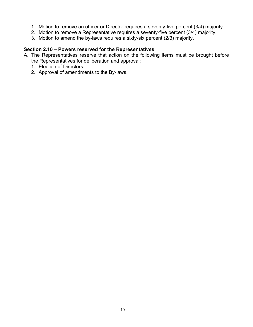- 1. Motion to remove an officer or Director requires a seventy-five percent (3/4) majority.
- 2. Motion to remove a Representative requires a seventy-five percent (3/4) majority.
- 3. Motion to amend the by-laws requires a sixty-six percent (2/3) majority.

# **Section 2.10 – Powers reserved for the Representatives**

- A. The Representatives reserve that action on the following items must be brought before the Representatives for deliberation and approval:
	- 1. Election of Directors.
	- 2. Approval of amendments to the By-laws.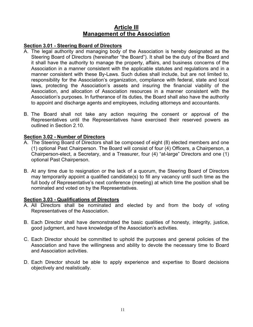# **Article III Management of the Association**

# **Section 3.01 - Steering Board of Directors**

- A. The legal authority and managing body of the Association is hereby designated as the Steering Board of Directors (hereinafter "the Board"). It shall be the duty of the Board and it shall have the authority to manage the property, affairs, and business concerns of the Association in a manner consistent with the applicable statutes and regulations and in a manner consistent with these By-Laws. Such duties shall include, but are not limited to, responsibility for the Association's organization, compliance with federal, state and local laws, protecting the Association's assets and insuring the financial viability of the Association, and allocation of Association resources in a manner consistent with the Association's purposes. In furtherance of its duties, the Board shall also have the authority to appoint and discharge agents and employees, including attorneys and accountants.
- B. The Board shall not take any action requiring the consent or approval of the Representatives until the Representatives have exercised their reserved powers as outlined in Section 2.10.

### **Section 3.02 - Number of Directors**

- A. The Steering Board of Directors shall be composed of eight (8) elected members and one (1) optional Past Chairperson. The Board will consist of four (4) Officers, a Chairperson, a Chairperson-elect, a Secretary, and a Treasurer, four (4) "at-large" Directors and one (1) optional Past Chairperson.
- B. At any time due to resignation or the lack of a quorum, the Steering Board of Directors may temporarily appoint a qualified candidate(s) to fill any vacancy until such time as the full body of Representative's next conference (meeting) at which time the position shall be nominated and voted on by the Representatives.

#### **Section 3.03 - Qualifications of Directors**

- A. All Directors shall be nominated and elected by and from the body of voting Representatives of the Association.
- B. Each Director shall have demonstrated the basic qualities of honesty, integrity, justice, good judgment, and have knowledge of the Association's activities.
- C. Each Director should be committed to uphold the purposes and general policies of the Association and have the willingness and ability to devote the necessary time to Board and Association activities.
- D. Each Director should be able to apply experience and expertise to Board decisions objectively and realistically.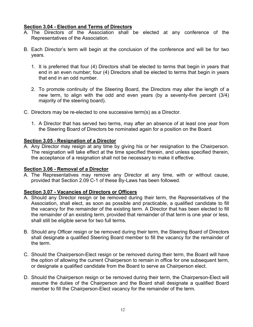# **Section 3.04 - Election and Terms of Directors**

- A. The Directors of the Association shall be elected at any conference of the Representatives of the Association.
- B. Each Director's term will begin at the conclusion of the conference and will be for two years.
	- 1. It is preferred that four (4) Directors shall be elected to terms that begin in years that end in an even number; four (4) Directors shall be elected to terms that begin in years that end in an odd number.
	- 2. To promote continuity of the Steering Board, the Directors may alter the length of a new term, to align with the odd and even years (by a seventy-five percent (3/4) majority of the steering board).
- C. Directors may be re-elected to one successive term(s) as a Director.
	- 1. A Director that has served two terms, may after an absence of at least one year from the Steering Board of Directors be nominated again for a position on the Board.

# **Section 3.05 - Resignation of a Director**

A. Any Director may resign at any time by giving his or her resignation to the Chairperson. The resignation will take effect at the time specified therein, and unless specified therein, the acceptance of a resignation shall not be necessary to make it effective.

#### **Section 3.06 - Removal of a Director**

A. The Representatives may remove any Director at any time, with or without cause, provided that Section 2.09 C-1 of these By-Laws has been followed.

# **Section 3.07 - Vacancies of Directors or Officers**

- A. Should any Director resign or be removed during their term, the Representatives of the Association, shall elect, as soon as possible and practicable, a qualified candidate to fill the vacancy for the remainder of the existing term. A Director that has been elected to fill the remainder of an existing term, provided that remainder of that term is one year or less, shall still be eligible serve for two full terms.
- B. Should any Officer resign or be removed during their term, the Steering Board of Directors shall designate a qualified Steering Board member to fill the vacancy for the remainder of the term.
- C. Should the Chairperson-Elect resign or be removed during their term, the Board will have the option of allowing the current Chairperson to remain in office for one subsequent term, or designate a qualified candidate from the Board to serve as Chairperson elect.
- D. Should the Chairperson resign or be removed during their term, the Chairperson-Elect will assume the duties of the Chairperson and the Board shall designate a qualified Board member to fill the Chairperson-Elect vacancy for the remainder of the term.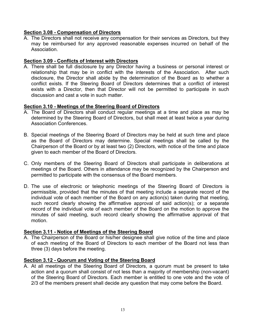## **Section 3.08 - Compensation of Directors**

A. The Directors shall not receive any compensation for their services as Directors, but they may be reimbursed for any approved reasonable expenses incurred on behalf of the Association.

# **Section 3.09 - Conflicts of Interest with Directors**

A. There shall be full disclosure by any Director having a business or personal interest or relationship that may be in conflict with the interests of the Association. After such disclosure, the Director shall abide by the determination of the Board as to whether a conflict exists. If the Steering Board of Directors determines that a conflict of interest exists with a Director, then that Director will not be permitted to participate in such discussion and cast a vote in such matter.

#### **Section 3.10 - Meetings of the Steering Board of Directors**

- A. The Board of Directors shall conduct regular meetings at a time and place as may be determined by the Steering Board of Directors, but shall meet at least twice a year during Association Conferences.
- B. Special meetings of the Steering Board of Directors may be held at such time and place as the Board of Directors may determine. Special meetings shall be called by the Chairperson of the Board or by at least two (2) Directors, with notice of the time and place given to each member of the Board of Directors.
- C. Only members of the Steering Board of Directors shall participate in deliberations at meetings of the Board. Others in attendance may be recognized by the Chairperson and permitted to participate with the consensus of the Board members.
- D. The use of electronic or telephonic meetings of the Steering Board of Directors is permissible, provided that the minutes of that meeting include a separate record of the individual vote of each member of the Board on any action(s) taken during that meeting, such record clearly showing the affirmative approval of said action(s); or a separate record of the individual vote of each member of the Board on the motion to approve the minutes of said meeting, such record clearly showing the affirmative approval of that motion.

#### **Section 3.11 - Notice of Meetings of the Steering Board**

A. The Chairperson of the Board or his/her designee shall give notice of the time and place of each meeting of the Board of Directors to each member of the Board not less than three (3) days before the meeting.

#### **Section 3.12 - Quorum and Voting of the Steering Board**

A. At all meetings of the Steering Board of Directors, a quorum must be present to take action and a quorum shall consist of not less than a majority of membership (non-vacant) of the Steering Board of Directors. Each member is entitled to one vote and the vote of 2/3 of the members present shall decide any question that may come before the Board.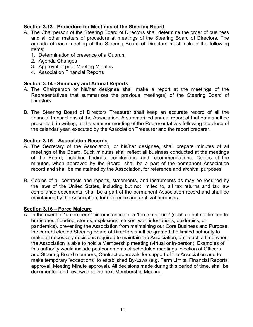# **Section 3.13 - Procedure for Meetings of the Steering Board**

- A. The Chairperson of the Steering Board of Directors shall determine the order of business and all other matters of procedure at meetings of the Steering Board of Directors. The agenda of each meeting of the Steering Board of Directors must include the following items:
	- 1. Determination of presence of a Quorum
	- 2. Agenda Changes
	- 3. Approval of prior Meeting Minutes
	- 4. Association Financial Reports

# **Section 3.14 - Summary and Annual Reports**

- A. The Chairperson or his/her designee shall make a report at the meetings of the Representatives that summarizes the previous meeting(s) of the Steering Board of Directors.
- B. The Steering Board of Directors Treasurer shall keep an accurate record of all the financial transactions of the Association. A summarized annual report of that data shall be presented, in writing, at the summer meeting of the Representatives following the close of the calendar year, executed by the Association Treasurer and the report preparer.

# **Section 3.15 – Association Records**

- A. The Secretary of the Association, or his/her designee, shall prepare minutes of all meetings of the Board. Such minutes shall reflect all business conducted at the meetings of the Board; including findings, conclusions, and recommendations. Copies of the minutes, when approved by the Board, shall be a part of the permanent Association record and shall be maintained by the Association, for reference and archival purposes.
- B. Copies of all contracts and reports, statements, and instruments as may be required by the laws of the United States, including but not limited to, all tax returns and tax law compliance documents, shall be a part of the permanent Association record and shall be maintained by the Association, for reference and archival purposes.

# **Section 3.16 – Force Majeure**

A. In the event of "unforeseen" circumstances or a "force majeure" (such as but not limited to hurricanes, flooding, storms, explosions, strikes, war, infestations, epidemics, or pandemics), preventing the Association from maintaining our Core Business and Purpose, the current elected Steering Board of Directors shall be granted the limited authority to make all necessary decisions required to maintain the Association, until such a time when the Association is able to hold a Membership meeting (virtual or in-person). Examples of this authority would include postponements of scheduled meetings, election of Officers and Steering Board members, Contract approvals for support of the Association and to make temporary "exceptions" to established By-Laws (e.g. Term Limits, Financial Reports approval, Meeting Minute approval). All decisions made during this period of time, shall be documented and reviewed at the next Membership Meeting.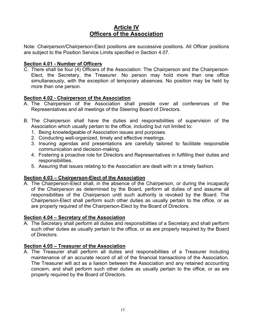# **Article IV Officers of the Association**

Note: Chairperson/Chairperson-Elect positions are successive positions. All Officer positions are subject to the Position Service Limits specified in Section 4.07.

## **Section 4.01 - Number of Officers**

C. There shall be four (4) Officers of the Association: The Chairperson and the Chairperson-Elect, the Secretary, the Treasurer. No person may hold more than one office simultaneously, with the exception of temporary absences. No position may be held by more than one person.

# **Section 4.02 - Chairperson of the Association**

- A. The Chairperson of the Association shall preside over all conferences of the Representatives and all meetings of the Steering Board of Directors.
- B. The Chairperson shall have the duties and responsibilities of supervision of the Association which usually pertain to the office, including but not limited to:
	- 1. Being knowledgeable of Association issues and purposes.
	- 2. Conducting well-organized, timely and effective meetings.
	- 3. Insuring agendas and presentations are carefully tailored to facilitate responsible communication and decision-making.
	- 4. Fostering a proactive role for Directors and Representatives in fulfilling their duties and responsibilities.
	- 5. Assuring that issues relating to the Association are dealt with in a timely fashion.

# **Section 4.03 – Chairperson-Elect of the Association**

A. The Chairperson-Elect shall, in the absence of the Chairperson, or during the incapacity of the Chairperson as determined by the Board, perform all duties of and assume all responsibilities of the Chairperson until such authority is revoked by the Board. The Chairperson-Elect shall perform such other duties as usually pertain to the office, or as are properly required of the Chairperson-Elect by the Board of Directors.

#### **Section 4.04 – Secretary of the Association**

A. The Secretary shall perform all duties and responsibilities of a Secretary and shall perform such other duties as usually pertain to the office, or as are properly required by the Board of Directors.

# **Section 4.05 – Treasurer of the Association**

A. The Treasurer shall perform all duties and responsibilities of a Treasurer including maintenance of an accurate record of all of the financial transactions of the Association. The Treasurer will act as a liaison between the Association and any retained accounting concern, and shall perform such other duties as usually pertain to the office, or as are properly required by the Board of Directors.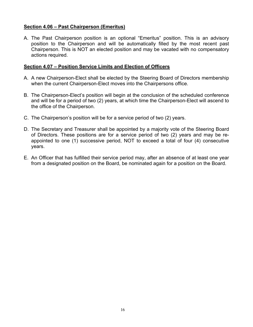# **Section 4.06 – Past Chairperson (Emeritus)**

A. The Past Chairperson position is an optional "Emeritus" position. This is an advisory position to the Chairperson and will be automatically filled by the most recent past Chairperson. This is NOT an elected position and may be vacated with no compensatory actions required.

#### **Section 4.07 – Position Service Limits and Election of Officers**

- A. A new Chairperson-Elect shall be elected by the Steering Board of Directors membership when the current Chairperson-Elect moves into the Chairpersons office.
- B. The Chairperson-Elect's position will begin at the conclusion of the scheduled conference and will be for a period of two (2) years, at which time the Chairperson-Elect will ascend to the office of the Chairperson.
- C. The Chairperson's position will be for a service period of two (2) years.
- D. The Secretary and Treasurer shall be appointed by a majority vote of the Steering Board of Directors. These positions are for a service period of two (2) years and may be reappointed to one (1) successive period, NOT to exceed a total of four (4) consecutive years.
- E. An Officer that has fulfilled their service period may, after an absence of at least one year from a designated position on the Board, be nominated again for a position on the Board.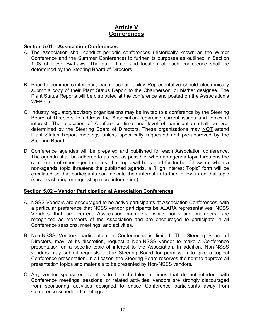# **Article V Conferences**

#### **Section 5.01 – Association Conferences**

- A. The Association shall conduct periodic conferences (historically known as the Winter Conference and the Summer Conference) to further its purposes as outlined in Section 1.03 of these By-Laws. The date, time, and location of each conference shall be determined by the Steering Board of Directors.
- B. Prior to summer conference, each nuclear facility Representative should electronically submit a copy of their Plant Status Report to the Chairperson, or his/her designee. The Plant Status Reports will be distributed at the conference and posted on the Association's WEB site.
- C. Industry regulatory/advisory organizations may be invited to a conference by the Steering Board of Directors to address the Association regarding current issues and topics of interest. The allocation of Conference time and level of participation shall be predetermined by the Steering Board of Directors. These organizations may NOT attend Plant Status Report meetings unless specifically requested and pre-approved by the Steering Board.
- D. Conference agendas will be prepared and published for each Association conference. The agenda shall be adhered to as best as possible; when an agenda topic threatens the completion of other agenda items, that topic will be tabled for further follow-up; when a non-agenda topic threatens the published agenda, a "High Interest Topic" form will be circulated so that participants can indicate their interest in further follow-up on that topic (such as sharing or requesting more information).

#### **Section 5.02 – Vendor Participation at Association Conferences**

- A. NSSS Vendors are encouraged to be active participants at Association Conferences, with a particular preference that NSSS vendor participants be ALARA representatives. NSSS Vendors that are current Association members, while non-voting members, are recognized as members of the Association and are encouraged to participate in all Conference sessions, meetings, and activities.
- B. Non-NSSS Vendors participation in Conferences is limited. The Steering Board of Directors, may, at its discretion, request a Non-NSSS vendor to make a Conference presentation on a specific topic of interest to the Association. In addition, Non-NSSS vendors may submit requests to the Steering Board for permission to give a topical Conference presentation. In all cases, the Steering Board reserves the right to approve all presentation topics and materials to be presented by Non-NSSS vendors.
- C. Any vendor sponsored event is to be scheduled at times that do not interfere with Conference meetings, sessions, or related activities; vendors are strongly discouraged from sponsoring activities designed to entice Conference participants away from Conference-scheduled meetings.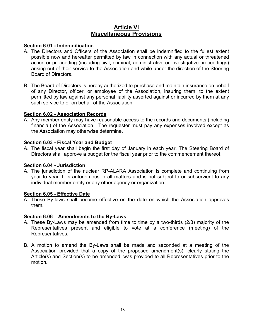# **Article VI Miscellaneous Provisions**

## **Section 6.01 - Indemnification**

- A. The Directors and Officers of the Association shall be indemnified to the fullest extent possible now and hereafter permitted by law in connection with any actual or threatened action or proceeding (including civil, criminal, administrative or investigative proceedings) arising out of their service to the Association and while under the direction of the Steering Board of Directors.
- B. The Board of Directors is hereby authorized to purchase and maintain insurance on behalf of any Director, officer, or employee of the Association, insuring them, to the extent permitted by law against any personal liability asserted against or incurred by them at any such service to or on behalf of the Association.

#### **Section 6.02 - Association Records**

A. Any member entity may have reasonable access to the records and documents (including financial) of the Association. The requester must pay any expenses involved except as the Association may otherwise determine.

# **Section 6.03 - Fiscal Year and Budget**

A. The fiscal year shall begin the first day of January in each year. The Steering Board of Directors shall approve a budget for the fiscal year prior to the commencement thereof.

## **Section 6.04 - Jurisdiction**

A. The jurisdiction of the nuclear RP-ALARA Association is complete and continuing from year to year. It is autonomous in all matters and is not subject to or subservient to any individual member entity or any other agency or organization.

#### **Section 6.05 - Effective Date**

A. These By-laws shall become effective on the date on which the Association approves them.

#### **Section 6.06 – Amendments to the By-Laws**

- A. These By-Laws may be amended from time to time by a two-thirds (2/3) majority of the Representatives present and eligible to vote at a conference (meeting) of the Representatives.
- B. A motion to amend the By-Laws shall be made and seconded at a meeting of the Association provided that a copy of the proposed amendment(s), clearly stating the Article(s) and Section(s) to be amended, was provided to all Representatives prior to the motion.